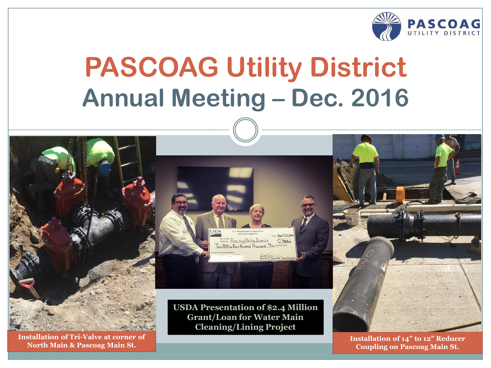

# **PASCOAG Utility District Annual Meeting – Dec. 2016**



**Installation of Tri-Valve at corner of North Main & Pascoag Main St.**

**USDA Presentation of \$2.4 Million Grant/Loan for Water Main Cleaning/Lining Project**

DATE April 22,20

PascoagUtility District \$2.4Million

Two Millian Four Hundred Thousand



**Installation of 14" to 12" Reducer Coupling on Pascoag Main St.**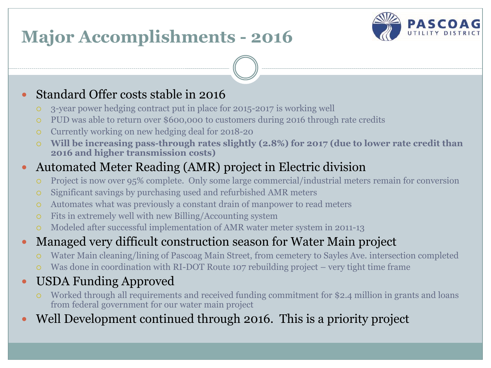### **Major Accomplishments - 2016**



#### Standard Offer costs stable in 2016

- 3-year power hedging contract put in place for 2015-2017 is working well
- PUD was able to return over \$600,000 to customers during 2016 through rate credits
- Currently working on new hedging deal for 2018-20
- **Will be increasing pass-through rates slightly (2.8%) for 2017 (due to lower rate credit than 2016 and higher transmission costs)**

#### Automated Meter Reading (AMR) project in Electric division

- Project is now over 95% complete. Only some large commercial/industrial meters remain for conversion
- Significant savings by purchasing used and refurbished AMR meters
- Automates what was previously a constant drain of manpower to read meters
- Fits in extremely well with new Billing/Accounting system
- Modeled after successful implementation of AMR water meter system in 2011-13
- Managed very difficult construction season for Water Main project
	- Water Main cleaning/lining of Pascoag Main Street, from cemetery to Sayles Ave. intersection completed
	- Was done in coordination with RI-DOT Route 107 rebuilding project very tight time frame
- USDA Funding Approved
	- Worked through all requirements and received funding commitment for \$2.4 million in grants and loans from federal government for our water main project
- Well Development continued through 2016. This is a priority project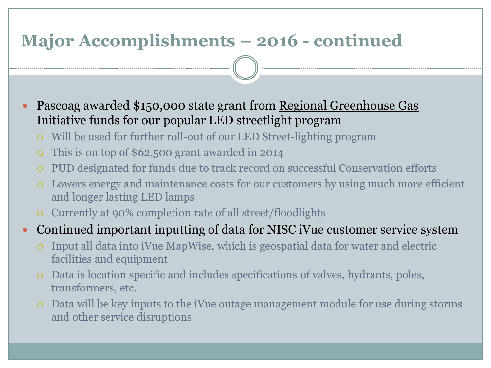### **Major Accomplishments – 2016 - continued**

 Pascoag awarded \$150,000 state grant from Regional Greenhouse Gas Initiative funds for our popular LED streetlight program

- Will be used for further roll-out of our LED Street-lighting program
- This is on top of \$62,500 grant awarded in 2014
- PUD designated for funds due to track record on successful Conservation efforts
- Lowers energy and maintenance costs for our customers by using much more efficient and longer lasting LED lamps
- Currently at 90% completion rate of all street/floodlights

#### Continued important inputting of data for NISC iVue customer service system

- Input all data into iVue MapWise, which is geospatial data for water and electric facilities and equipment
- Data is location specific and includes specifications of valves, hydrants, poles, transformers, etc.
- Data will be key inputs to the iVue outage management module for use during storms and other service disruptions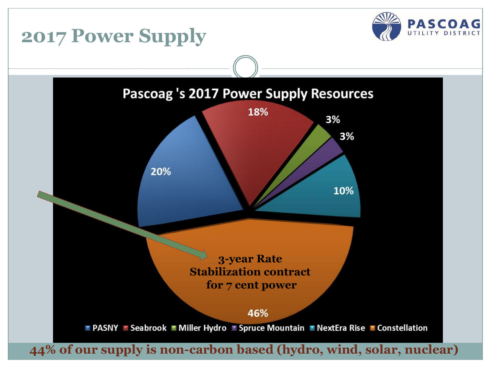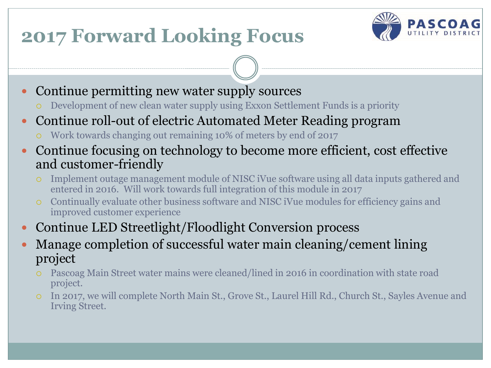# **2017 Forward Looking Focus**



- Continue permitting new water supply sources
	- Development of new clean water supply using Exxon Settlement Funds is a priority
- Continue roll-out of electric Automated Meter Reading program
	- Work towards changing out remaining 10% of meters by end of 2017
- Continue focusing on technology to become more efficient, cost effective and customer-friendly
	- Implement outage management module of NISC iVue software using all data inputs gathered and entered in 2016. Will work towards full integration of this module in 2017
	- Continually evaluate other business software and NISC iVue modules for efficiency gains and improved customer experience
- Continue LED Streetlight/Floodlight Conversion process
- Manage completion of successful water main cleaning/cement lining project
	- Pascoag Main Street water mains were cleaned/lined in 2016 in coordination with state road project.
	- In 2017, we will complete North Main St., Grove St., Laurel Hill Rd., Church St., Sayles Avenue and Irving Street.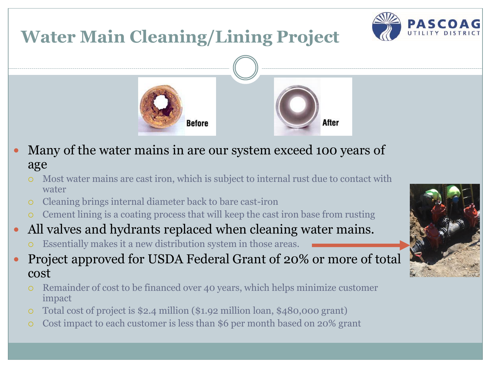### **Water Main Cleaning/Lining Project**







- Many of the water mains in are our system exceed 100 years of age
	- Most water mains are cast iron, which is subject to internal rust due to contact with water
	- Cleaning brings internal diameter back to bare cast-iron
	- Cement lining is a coating process that will keep the cast iron base from rusting
- All valves and hydrants replaced when cleaning water mains.
	- Essentially makes it a new distribution system in those areas.
- Project approved for USDA Federal Grant of 20% or more of total cost
	- Remainder of cost to be financed over 40 years, which helps minimize customer impact
	- Total cost of project is \$2.4 million (\$1.92 million loan, \$480,000 grant)
	- Cost impact to each customer is less than \$6 per month based on 20% grant